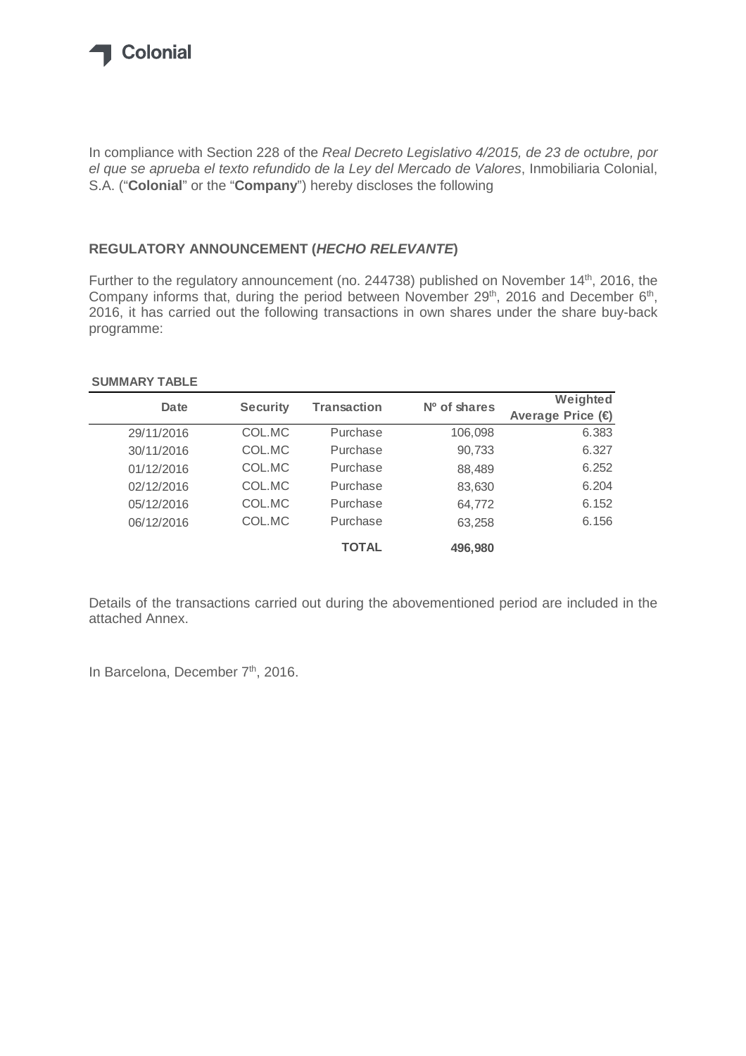

In compliance with Section 228 of the Real Decreto Legislativo 4/2015, de 23 de octubre, por el que se aprueba el texto refundido de la Ley del Mercado de Valores, Inmobiliaria Colonial, S.A. ("**Colonial**" or the "**Company**") hereby discloses the following

## **REGULATORY ANNOUNCEMENT (HECHO RELEVANTE)**

Further to the regulatory announcement (no. 244738) published on November 14<sup>th</sup>, 2016, the Company informs that, during the period between November 29<sup>th</sup>, 2016 and December 6<sup>th</sup>, 2016, it has carried out the following transactions in own shares under the share buy-back programme:

## **SUMMARY TABLE**

| Date       | <b>Security</b> | <b>Transaction</b> | Nº of shares | Weighted          |
|------------|-----------------|--------------------|--------------|-------------------|
|            |                 |                    |              | Average Price (€) |
| 29/11/2016 | COL.MC          | Purchase           | 106,098      | 6.383             |
| 30/11/2016 | COL.MC          | Purchase           | 90,733       | 6.327             |
| 01/12/2016 | COL.MC          | Purchase           | 88,489       | 6.252             |
| 02/12/2016 | COL.MC          | Purchase           | 83,630       | 6.204             |
| 05/12/2016 | COL.MC          | Purchase           | 64,772       | 6.152             |
| 06/12/2016 | COL.MC          | Purchase           | 63,258       | 6.156             |
|            |                 | <b>TOTAL</b>       | 496,980      |                   |

Details of the transactions carried out during the abovementioned period are included in the attached Annex.

In Barcelona, December 7<sup>th</sup>, 2016.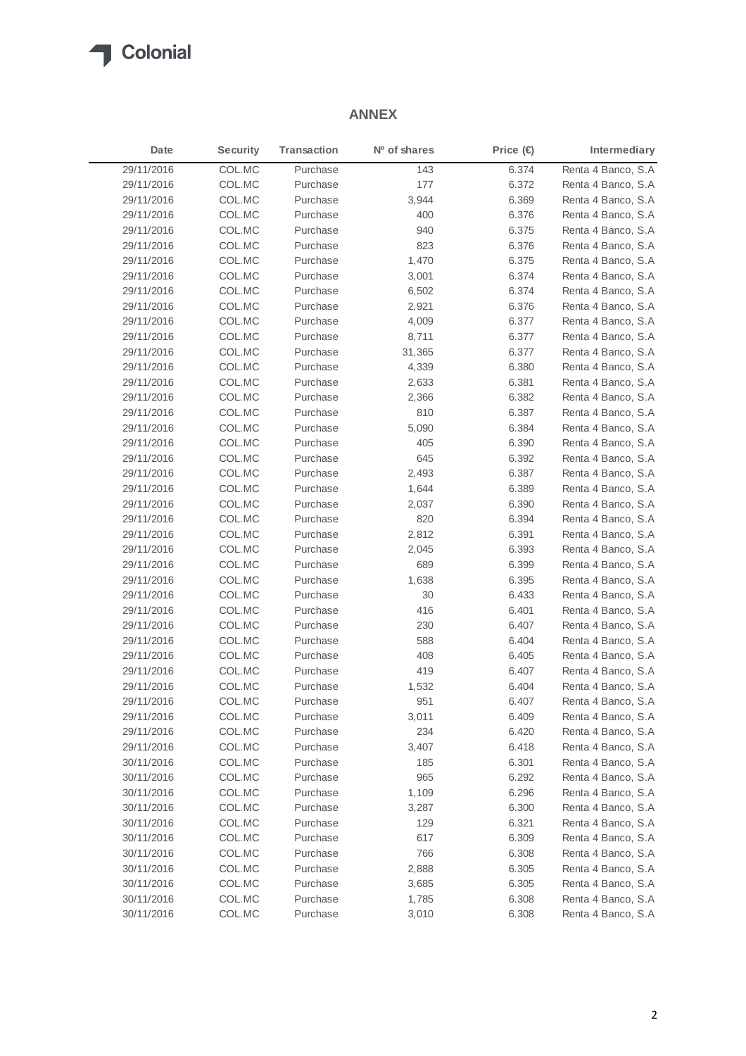

## **ANNEX**

| Date       | <b>Security</b> | Transaction | Nº of shares | Price $(\in)$ | Intermediary        |
|------------|-----------------|-------------|--------------|---------------|---------------------|
| 29/11/2016 | COL.MC          | Purchase    | 143          | 6.374         | Renta 4 Banco, S.A  |
| 29/11/2016 | COL.MC          | Purchase    | 177          | 6.372         | Renta 4 Banco, S.A  |
| 29/11/2016 | COL.MC          | Purchase    | 3,944        | 6.369         | Renta 4 Banco, S.A. |
| 29/11/2016 | COL.MC          | Purchase    | 400          | 6.376         | Renta 4 Banco, S.A  |
| 29/11/2016 | COL.MC          | Purchase    | 940          | 6.375         | Renta 4 Banco, S.A. |
| 29/11/2016 | COL.MC          | Purchase    | 823          | 6.376         | Renta 4 Banco, S.A  |
| 29/11/2016 | COL.MC          | Purchase    | 1,470        | 6.375         | Renta 4 Banco, S.A  |
| 29/11/2016 | COL.MC          | Purchase    | 3,001        | 6.374         | Renta 4 Banco, S.A. |
| 29/11/2016 | COL.MC          | Purchase    | 6,502        | 6.374         | Renta 4 Banco, S.A  |
| 29/11/2016 | COL.MC          | Purchase    | 2,921        | 6.376         | Renta 4 Banco, S.A  |
| 29/11/2016 | COL.MC          | Purchase    | 4,009        | 6.377         | Renta 4 Banco, S.A  |
| 29/11/2016 | COL.MC          | Purchase    | 8,711        | 6.377         | Renta 4 Banco, S.A  |
| 29/11/2016 | COL.MC          | Purchase    | 31,365       | 6.377         | Renta 4 Banco, S.A  |
| 29/11/2016 | COL.MC          | Purchase    | 4,339        | 6.380         | Renta 4 Banco, S.A  |
| 29/11/2016 | COL.MC          | Purchase    | 2,633        | 6.381         | Renta 4 Banco, S.A  |
| 29/11/2016 | COL.MC          | Purchase    | 2,366        | 6.382         | Renta 4 Banco, S.A  |
| 29/11/2016 | COL.MC          | Purchase    | 810          | 6.387         | Renta 4 Banco, S.A  |
| 29/11/2016 | COL.MC          | Purchase    | 5,090        | 6.384         | Renta 4 Banco, S.A  |
| 29/11/2016 | COL.MC          | Purchase    | 405          | 6.390         | Renta 4 Banco, S.A  |
| 29/11/2016 | COL.MC          | Purchase    | 645          | 6.392         | Renta 4 Banco, S.A  |
| 29/11/2016 | COL.MC          | Purchase    | 2,493        | 6.387         | Renta 4 Banco, S.A  |
| 29/11/2016 | COL.MC          | Purchase    | 1,644        | 6.389         | Renta 4 Banco, S.A  |
| 29/11/2016 | COL.MC          | Purchase    | 2,037        | 6.390         | Renta 4 Banco, S.A. |
| 29/11/2016 | COL.MC          | Purchase    | 820          | 6.394         | Renta 4 Banco, S.A  |
| 29/11/2016 | COL.MC          | Purchase    | 2,812        | 6.391         | Renta 4 Banco, S.A  |
| 29/11/2016 | COL.MC          | Purchase    | 2,045        | 6.393         | Renta 4 Banco, S.A  |
| 29/11/2016 | COL.MC          | Purchase    | 689          | 6.399         | Renta 4 Banco, S.A  |
| 29/11/2016 | COL.MC          | Purchase    | 1,638        | 6.395         | Renta 4 Banco, S.A  |
| 29/11/2016 | COL.MC          | Purchase    | 30           | 6.433         | Renta 4 Banco, S.A  |
| 29/11/2016 | COL.MC          | Purchase    | 416          | 6.401         | Renta 4 Banco, S.A  |
| 29/11/2016 | COL.MC          | Purchase    | 230          | 6.407         | Renta 4 Banco, S.A  |
| 29/11/2016 | COL.MC          | Purchase    | 588          | 6.404         | Renta 4 Banco, S.A  |
| 29/11/2016 | COL.MC          | Purchase    | 408          | 6.405         | Renta 4 Banco, S.A  |
| 29/11/2016 | COL.MC          | Purchase    | 419          | 6.407         | Renta 4 Banco, S.A  |
| 29/11/2016 | COL.MC          | Purchase    | 1,532        | 6.404         | Renta 4 Banco, S.A  |
| 29/11/2016 | COL.MC          | Purchase    | 951          | 6.407         | Renta 4 Banco, S.A  |
| 29/11/2016 | COL.MC          | Purchase    | 3,011        | 6.409         | Renta 4 Banco, S.A. |
| 29/11/2016 | COL.MC          | Purchase    | 234          | 6.420         | Renta 4 Banco, S.A  |
| 29/11/2016 | COL.MC          | Purchase    | 3,407        | 6.418         | Renta 4 Banco, S.A  |
| 30/11/2016 | COL.MC          | Purchase    | 185          | 6.301         | Renta 4 Banco, S.A  |
| 30/11/2016 | COL.MC          | Purchase    | 965          | 6.292         | Renta 4 Banco, S.A  |
| 30/11/2016 | COL.MC          | Purchase    | 1,109        | 6.296         | Renta 4 Banco, S.A  |
| 30/11/2016 | COL.MC          | Purchase    | 3,287        | 6.300         | Renta 4 Banco, S.A  |
| 30/11/2016 | COL.MC          | Purchase    | 129          | 6.321         | Renta 4 Banco, S.A  |
| 30/11/2016 | COL.MC          | Purchase    | 617          | 6.309         | Renta 4 Banco, S.A  |
| 30/11/2016 | COL.MC          | Purchase    | 766          | 6.308         | Renta 4 Banco, S.A  |
| 30/11/2016 | COL.MC          | Purchase    | 2,888        | 6.305         | Renta 4 Banco, S.A  |
| 30/11/2016 | COL.MC          | Purchase    | 3,685        | 6.305         | Renta 4 Banco, S.A  |
| 30/11/2016 | COL.MC          | Purchase    | 1,785        | 6.308         | Renta 4 Banco, S.A  |
| 30/11/2016 | COL.MC          | Purchase    | 3,010        | 6.308         | Renta 4 Banco, S.A  |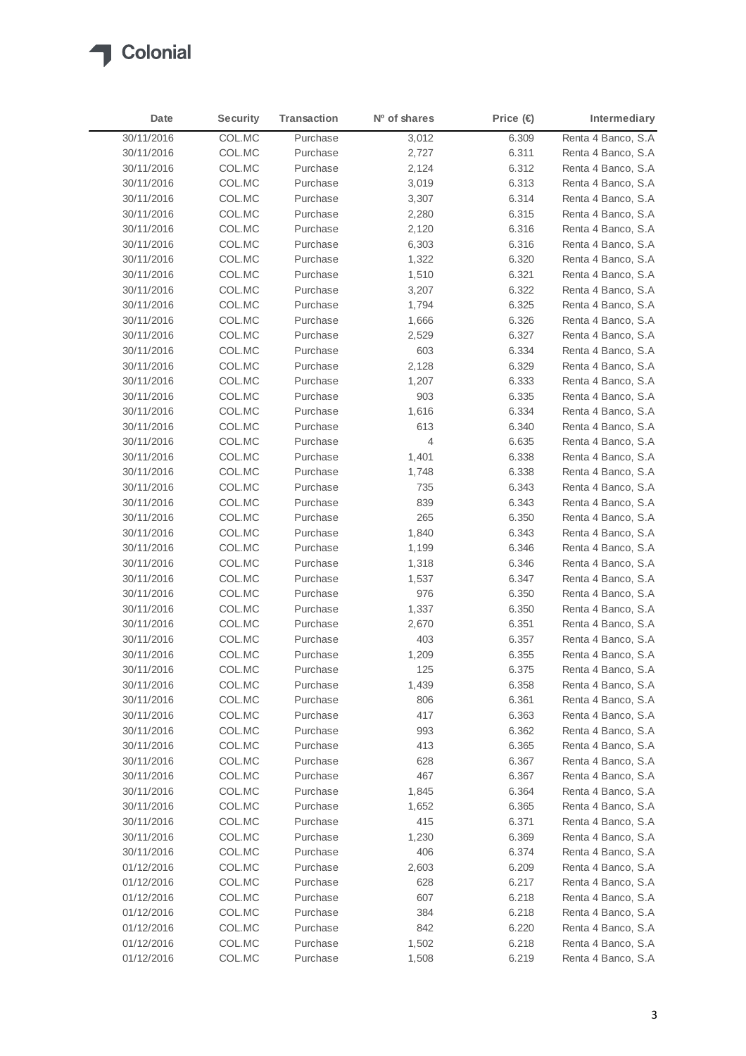

| Date       | <b>Security</b> | <b>Transaction</b> | Nº of shares | Price $(\epsilon)$ | Intermediary                              |
|------------|-----------------|--------------------|--------------|--------------------|-------------------------------------------|
| 30/11/2016 | COL.MC          | Purchase           | 3,012        | 6.309              | Renta 4 Banco, S.A                        |
| 30/11/2016 | COL.MC          | Purchase           | 2,727        | 6.311              | Renta 4 Banco, S.A.                       |
| 30/11/2016 | COL.MC          | Purchase           | 2,124        | 6.312              | Renta 4 Banco, S.A                        |
| 30/11/2016 | COL.MC          | Purchase           | 3,019        | 6.313              | Renta 4 Banco, S.A                        |
| 30/11/2016 | COL.MC          | Purchase           | 3,307        | 6.314              | Renta 4 Banco, S.A                        |
| 30/11/2016 | COL.MC          | Purchase           | 2,280        | 6.315              | Renta 4 Banco, S.A                        |
| 30/11/2016 | COL.MC          | Purchase           | 2,120        | 6.316              | Renta 4 Banco, S.A                        |
| 30/11/2016 | COL.MC          | Purchase           | 6,303        | 6.316              | Renta 4 Banco, S.A.                       |
| 30/11/2016 | COL.MC          | Purchase           | 1,322        | 6.320              | Renta 4 Banco, S.A.                       |
| 30/11/2016 | COL.MC          | Purchase           | 1,510        | 6.321              | Renta 4 Banco, S.A.                       |
| 30/11/2016 | COL.MC          | Purchase           | 3,207        | 6.322              | Renta 4 Banco, S.A.                       |
| 30/11/2016 | COL.MC          | Purchase           | 1,794        | 6.325              | Renta 4 Banco, S.A.                       |
| 30/11/2016 | COL.MC          | Purchase           | 1,666        | 6.326              | Renta 4 Banco, S.A                        |
| 30/11/2016 | COL.MC          | Purchase           | 2,529        | 6.327              | Renta 4 Banco, S.A                        |
| 30/11/2016 | COL.MC          | Purchase           | 603          | 6.334              | Renta 4 Banco, S.A.                       |
| 30/11/2016 | COL.MC          | Purchase           | 2,128        | 6.329              | Renta 4 Banco, S.A.                       |
| 30/11/2016 | COL.MC          | Purchase           | 1,207        | 6.333              | Renta 4 Banco, S.A                        |
| 30/11/2016 | COL.MC          | Purchase           | 903          | 6.335              | Renta 4 Banco, S.A                        |
| 30/11/2016 | COL.MC          | Purchase           | 1,616        | 6.334              | Renta 4 Banco, S.A.                       |
| 30/11/2016 |                 | Purchase           |              |                    | Renta 4 Banco, S.A                        |
|            | COL.MC          | Purchase           | 613          | 6.340              |                                           |
| 30/11/2016 | COL.MC          |                    | 4            | 6.635              | Renta 4 Banco, S.A<br>Renta 4 Banco, S.A. |
| 30/11/2016 | COL.MC          | Purchase           | 1,401        | 6.338              |                                           |
| 30/11/2016 | COL.MC          | Purchase           | 1,748        | 6.338              | Renta 4 Banco, S.A.                       |
| 30/11/2016 | COL.MC          | Purchase           | 735          | 6.343              | Renta 4 Banco, S.A                        |
| 30/11/2016 | COL.MC          | Purchase           | 839          | 6.343              | Renta 4 Banco, S.A.                       |
| 30/11/2016 | COL.MC          | Purchase           | 265          | 6.350              | Renta 4 Banco, S.A.                       |
| 30/11/2016 | COL.MC          | Purchase           | 1,840        | 6.343              | Renta 4 Banco, S.A                        |
| 30/11/2016 | COL.MC          | Purchase           | 1,199        | 6.346              | Renta 4 Banco, S.A.                       |
| 30/11/2016 | COL.MC          | Purchase           | 1,318        | 6.346              | Renta 4 Banco, S.A                        |
| 30/11/2016 | COL.MC          | Purchase           | 1,537        | 6.347              | Renta 4 Banco, S.A                        |
| 30/11/2016 | COL.MC          | Purchase           | 976          | 6.350              | Renta 4 Banco, S.A                        |
| 30/11/2016 | COL.MC          | Purchase           | 1,337        | 6.350              | Renta 4 Banco, S.A                        |
| 30/11/2016 | COL.MC          | Purchase           | 2,670        | 6.351              | Renta 4 Banco, S.A                        |
| 30/11/2016 | COL.MC          | Purchase           | 403          | 6.357              | Renta 4 Banco, S.A                        |
| 30/11/2016 | COL.MC          | Purchase           | 1,209        | 6.355              | Renta 4 Banco, S.A                        |
| 30/11/2016 | COL.MC          | Purchase           | 125          | 6.375              | Renta 4 Banco, S.A                        |
| 30/11/2016 | COL.MC          | Purchase           | 1,439        | 6.358              | Renta 4 Banco, S.A.                       |
| 30/11/2016 | COL.MC          | Purchase           | 806          | 6.361              | Renta 4 Banco, S.A                        |
| 30/11/2016 | COL.MC          | Purchase           | 417          | 6.363              | Renta 4 Banco, S.A                        |
| 30/11/2016 | COL.MC          | Purchase           | 993          | 6.362              | Renta 4 Banco, S.A                        |
| 30/11/2016 | COL.MC          | Purchase           | 413          | 6.365              | Renta 4 Banco, S.A                        |
| 30/11/2016 | COL.MC          | Purchase           | 628          | 6.367              | Renta 4 Banco, S.A                        |
| 30/11/2016 | COL.MC          | Purchase           | 467          | 6.367              | Renta 4 Banco, S.A                        |
| 30/11/2016 | COL.MC          | Purchase           | 1,845        | 6.364              | Renta 4 Banco, S.A                        |
| 30/11/2016 | COL.MC          | Purchase           | 1,652        | 6.365              | Renta 4 Banco, S.A                        |
| 30/11/2016 | COL.MC          | Purchase           | 415          | 6.371              | Renta 4 Banco, S.A                        |
| 30/11/2016 | COL.MC          | Purchase           | 1,230        | 6.369              | Renta 4 Banco, S.A                        |
| 30/11/2016 | COL.MC          | Purchase           | 406          | 6.374              | Renta 4 Banco, S.A                        |
| 01/12/2016 | COL.MC          | Purchase           | 2,603        | 6.209              | Renta 4 Banco, S.A                        |
| 01/12/2016 | COL.MC          | Purchase           | 628          | 6.217              | Renta 4 Banco, S.A                        |
| 01/12/2016 | COL.MC          | Purchase           | 607          | 6.218              | Renta 4 Banco, S.A                        |
| 01/12/2016 | COL.MC          | Purchase           | 384          | 6.218              | Renta 4 Banco, S.A                        |
| 01/12/2016 | COL.MC          | Purchase           | 842          | 6.220              | Renta 4 Banco, S.A                        |
| 01/12/2016 | COL.MC          | Purchase           | 1,502        | 6.218              | Renta 4 Banco, S.A                        |
| 01/12/2016 | COL.MC          | Purchase           | 1,508        | 6.219              | Renta 4 Banco, S.A                        |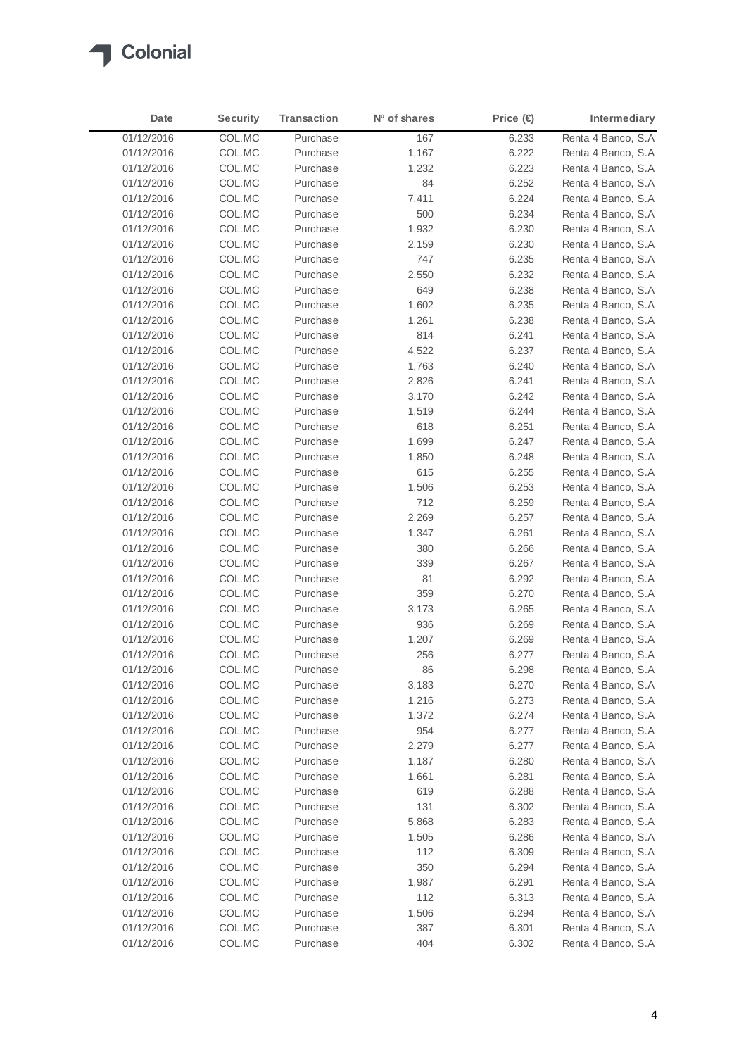

| Date       | <b>Security</b> | <b>Transaction</b> | N <sup>o</sup> of shares | Price $(\in)$ | Intermediary        |
|------------|-----------------|--------------------|--------------------------|---------------|---------------------|
| 01/12/2016 | COL.MC          | Purchase           | 167                      | 6.233         | Renta 4 Banco, S.A  |
| 01/12/2016 | COL.MC          | Purchase           | 1,167                    | 6.222         | Renta 4 Banco, S.A  |
| 01/12/2016 | COL.MC          | Purchase           | 1,232                    | 6.223         | Renta 4 Banco, S.A  |
| 01/12/2016 | COL.MC          | Purchase           | 84                       | 6.252         | Renta 4 Banco, S.A  |
| 01/12/2016 | COL.MC          | Purchase           | 7,411                    | 6.224         | Renta 4 Banco, S.A  |
| 01/12/2016 | COL.MC          | Purchase           | 500                      | 6.234         | Renta 4 Banco, S.A  |
| 01/12/2016 | COL.MC          | Purchase           | 1,932                    | 6.230         | Renta 4 Banco, S.A  |
| 01/12/2016 | COL.MC          | Purchase           | 2,159                    | 6.230         | Renta 4 Banco, S.A  |
| 01/12/2016 | COL.MC          | Purchase           | 747                      | 6.235         | Renta 4 Banco, S.A  |
| 01/12/2016 | COL.MC          | Purchase           | 2,550                    | 6.232         | Renta 4 Banco, S.A  |
| 01/12/2016 | COL.MC          | Purchase           | 649                      | 6.238         | Renta 4 Banco, S.A  |
| 01/12/2016 | COL.MC          | Purchase           | 1,602                    | 6.235         | Renta 4 Banco, S.A  |
| 01/12/2016 | COL.MC          | Purchase           | 1,261                    | 6.238         | Renta 4 Banco, S.A  |
| 01/12/2016 | COL.MC          | Purchase           | 814                      | 6.241         | Renta 4 Banco, S.A  |
| 01/12/2016 | COL.MC          | Purchase           | 4,522                    | 6.237         | Renta 4 Banco, S.A  |
| 01/12/2016 | COL.MC          | Purchase           | 1,763                    | 6.240         | Renta 4 Banco, S.A  |
| 01/12/2016 | COL.MC          | Purchase           | 2,826                    | 6.241         | Renta 4 Banco, S.A  |
| 01/12/2016 | COL.MC          | Purchase           | 3,170                    | 6.242         | Renta 4 Banco, S.A. |
| 01/12/2016 | COL.MC          | Purchase           | 1,519                    | 6.244         | Renta 4 Banco, S.A. |
| 01/12/2016 | COL.MC          | Purchase           | 618                      | 6.251         | Renta 4 Banco, S.A  |
| 01/12/2016 | COL.MC          | Purchase           | 1,699                    | 6.247         | Renta 4 Banco, S.A. |
| 01/12/2016 | COL.MC          | Purchase           | 1,850                    | 6.248         | Renta 4 Banco, S.A  |
| 01/12/2016 | COL.MC          | Purchase           | 615                      | 6.255         | Renta 4 Banco, S.A  |
| 01/12/2016 | COL.MC          | Purchase           | 1,506                    | 6.253         | Renta 4 Banco, S.A  |
| 01/12/2016 | COL.MC          | Purchase           | 712                      | 6.259         | Renta 4 Banco, S.A  |
| 01/12/2016 | COL.MC          | Purchase           | 2,269                    | 6.257         | Renta 4 Banco, S.A  |
| 01/12/2016 | COL.MC          | Purchase           | 1,347                    | 6.261         | Renta 4 Banco, S.A  |
| 01/12/2016 | COL.MC          | Purchase           | 380                      | 6.266         | Renta 4 Banco, S.A  |
| 01/12/2016 | COL.MC          | Purchase           | 339                      | 6.267         | Renta 4 Banco, S.A  |
| 01/12/2016 | COL.MC          | Purchase           | 81                       | 6.292         | Renta 4 Banco, S.A  |
| 01/12/2016 | COL.MC          | Purchase           | 359                      | 6.270         | Renta 4 Banco, S.A  |
| 01/12/2016 | COL.MC          | Purchase           | 3,173                    | 6.265         | Renta 4 Banco, S.A  |
| 01/12/2016 | COL.MC          | Purchase           | 936                      | 6.269         | Renta 4 Banco, S.A  |
| 01/12/2016 | COL.MC          | Purchase           | 1,207                    | 6.269         | Renta 4 Banco, S.A  |
| 01/12/2016 | COL.MC          | Purchase           | 256                      | 6.277         | Renta 4 Banco, S.A  |
| 01/12/2016 | COL.MC          | Purchase           | 86                       | 6.298         | Renta 4 Banco, S.A  |
| 01/12/2016 | COL.MC          | Purchase           | 3,183                    | 6.270         | Renta 4 Banco, S.A  |
| 01/12/2016 | COL.MC          | Purchase           | 1,216                    | 6.273         | Renta 4 Banco, S.A  |
| 01/12/2016 | COL.MC          | Purchase           | 1,372                    | 6.274         | Renta 4 Banco, S.A  |
| 01/12/2016 | COL.MC          | Purchase           | 954                      | 6.277         | Renta 4 Banco, S.A  |
| 01/12/2016 | COL.MC          | Purchase           | 2,279                    | 6.277         | Renta 4 Banco, S.A  |
| 01/12/2016 | COL.MC          | Purchase           | 1,187                    | 6.280         | Renta 4 Banco, S.A  |
| 01/12/2016 | COL.MC          | Purchase           | 1,661                    | 6.281         | Renta 4 Banco, S.A  |
| 01/12/2016 | COL.MC          | Purchase           | 619                      | 6.288         | Renta 4 Banco, S.A  |
| 01/12/2016 |                 | Purchase           |                          |               | Renta 4 Banco, S.A  |
|            | COL.MC          |                    | 131                      | 6.302         |                     |
| 01/12/2016 | COL.MC          | Purchase           | 5,868                    | 6.283         | Renta 4 Banco, S.A  |
| 01/12/2016 | COL.MC          | Purchase           | 1,505                    | 6.286         | Renta 4 Banco, S.A  |
| 01/12/2016 | COL.MC          | Purchase           | 112                      | 6.309         | Renta 4 Banco, S.A  |
| 01/12/2016 | COL.MC          | Purchase           | 350                      | 6.294         | Renta 4 Banco, S.A  |
| 01/12/2016 | COL.MC          | Purchase           | 1,987                    | 6.291         | Renta 4 Banco, S.A  |
| 01/12/2016 | COL.MC          | Purchase           | 112                      | 6.313         | Renta 4 Banco, S.A  |
| 01/12/2016 | COL.MC          | Purchase           | 1,506                    | 6.294         | Renta 4 Banco, S.A  |
| 01/12/2016 | COL.MC          | Purchase           | 387                      | 6.301         | Renta 4 Banco, S.A  |
| 01/12/2016 | COL.MC          | Purchase           | 404                      | 6.302         | Renta 4 Banco, S.A  |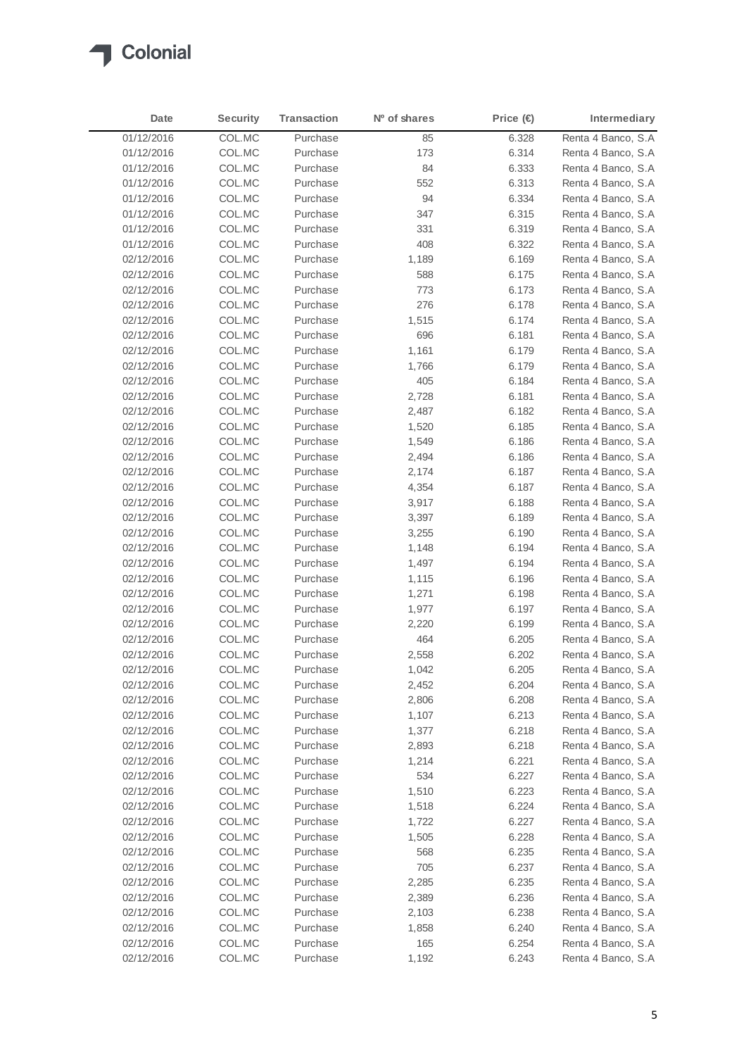

| Date       | <b>Security</b> | <b>Transaction</b> | N <sup>o</sup> of shares | Price $(\in)$ | Intermediary        |
|------------|-----------------|--------------------|--------------------------|---------------|---------------------|
| 01/12/2016 | COL.MC          | Purchase           | 85                       | 6.328         | Renta 4 Banco, S.A  |
| 01/12/2016 | COL.MC          | Purchase           | 173                      | 6.314         | Renta 4 Banco, S.A. |
| 01/12/2016 | COL.MC          | Purchase           | 84                       | 6.333         | Renta 4 Banco, S.A. |
| 01/12/2016 | COL.MC          | Purchase           | 552                      | 6.313         | Renta 4 Banco, S.A. |
| 01/12/2016 | COL.MC          | Purchase           | 94                       | 6.334         | Renta 4 Banco, S.A. |
| 01/12/2016 | COL.MC          | Purchase           | 347                      | 6.315         | Renta 4 Banco, S.A. |
| 01/12/2016 | COL.MC          | Purchase           | 331                      | 6.319         | Renta 4 Banco, S.A  |
| 01/12/2016 | COL.MC          | Purchase           | 408                      | 6.322         | Renta 4 Banco, S.A. |
| 02/12/2016 | COL.MC          | Purchase           | 1,189                    | 6.169         | Renta 4 Banco, S.A. |
| 02/12/2016 | COL.MC          | Purchase           | 588                      | 6.175         | Renta 4 Banco, S.A  |
| 02/12/2016 | COL.MC          | Purchase           | 773                      | 6.173         | Renta 4 Banco, S.A. |
| 02/12/2016 | COL.MC          | Purchase           | 276                      | 6.178         | Renta 4 Banco, S.A. |
| 02/12/2016 | COL.MC          | Purchase           | 1,515                    | 6.174         | Renta 4 Banco, S.A. |
| 02/12/2016 | COL.MC          | Purchase           | 696                      | 6.181         | Renta 4 Banco, S.A  |
| 02/12/2016 | COL.MC          | Purchase           | 1,161                    | 6.179         | Renta 4 Banco, S.A. |
| 02/12/2016 | COL.MC          | Purchase           | 1,766                    | 6.179         | Renta 4 Banco, S.A. |
| 02/12/2016 | COL.MC          | Purchase           | 405                      | 6.184         | Renta 4 Banco, S.A  |
| 02/12/2016 | COL.MC          | Purchase           | 2,728                    | 6.181         | Renta 4 Banco, S.A. |
| 02/12/2016 | COL.MC          | Purchase           | 2,487                    | 6.182         | Renta 4 Banco, S.A. |
| 02/12/2016 | COL.MC          | Purchase           | 1,520                    | 6.185         | Renta 4 Banco, S.A. |
| 02/12/2016 | COL.MC          | Purchase           | 1,549                    | 6.186         | Renta 4 Banco, S.A. |
| 02/12/2016 | COL.MC          | Purchase           | 2,494                    | 6.186         | Renta 4 Banco, S.A  |
| 02/12/2016 | COL.MC          | Purchase           | 2,174                    | 6.187         | Renta 4 Banco, S.A  |
| 02/12/2016 | COL.MC          | Purchase           | 4,354                    | 6.187         | Renta 4 Banco, S.A  |
| 02/12/2016 | COL.MC          | Purchase           | 3,917                    | 6.188         | Renta 4 Banco, S.A. |
| 02/12/2016 | COL.MC          | Purchase           | 3,397                    | 6.189         | Renta 4 Banco, S.A. |
| 02/12/2016 | COL.MC          | Purchase           | 3,255                    | 6.190         | Renta 4 Banco, S.A  |
| 02/12/2016 | COL.MC          | Purchase           | 1,148                    | 6.194         | Renta 4 Banco, S.A. |
| 02/12/2016 | COL.MC          | Purchase           | 1,497                    | 6.194         | Renta 4 Banco, S.A  |
| 02/12/2016 | COL.MC          | Purchase           | 1,115                    | 6.196         | Renta 4 Banco, S.A  |
| 02/12/2016 | COL.MC          | Purchase           | 1,271                    | 6.198         | Renta 4 Banco, S.A  |
| 02/12/2016 | COL.MC          | Purchase           | 1,977                    | 6.197         | Renta 4 Banco, S.A  |
| 02/12/2016 | COL.MC          | Purchase           | 2,220                    | 6.199         | Renta 4 Banco, S.A  |
| 02/12/2016 | COL.MC          | Purchase           | 464                      | 6.205         | Renta 4 Banco, S.A. |
| 02/12/2016 | COL.MC          | Purchase           | 2,558                    | 6.202         | Renta 4 Banco, S.A  |
| 02/12/2016 | COL.MC          | Purchase           | 1,042                    | 6.205         | Renta 4 Banco, S.A  |
| 02/12/2016 | COL.MC          | Purchase           | 2,452                    | 6.204         | Renta 4 Banco, S.A  |
| 02/12/2016 | COL.MC          | Purchase           | 2,806                    | 6.208         | Renta 4 Banco, S.A  |
| 02/12/2016 | COL.MC          | Purchase           | 1,107                    | 6.213         | Renta 4 Banco, S.A  |
| 02/12/2016 | COL.MC          | Purchase           | 1,377                    | 6.218         | Renta 4 Banco, S.A  |
| 02/12/2016 | COL.MC          | Purchase           | 2,893                    | 6.218         | Renta 4 Banco, S.A  |
| 02/12/2016 | COL.MC          | Purchase           | 1,214                    | 6.221         | Renta 4 Banco, S.A  |
| 02/12/2016 | COL.MC          | Purchase           | 534                      | 6.227         | Renta 4 Banco, S.A  |
| 02/12/2016 | COL.MC          | Purchase           | 1,510                    | 6.223         | Renta 4 Banco, S.A  |
| 02/12/2016 | COL.MC          | Purchase           | 1,518                    | 6.224         | Renta 4 Banco, S.A  |
| 02/12/2016 | COL.MC          | Purchase           | 1,722                    | 6.227         | Renta 4 Banco, S.A  |
| 02/12/2016 | COL.MC          | Purchase           | 1,505                    | 6.228         | Renta 4 Banco, S.A  |
| 02/12/2016 | COL.MC          | Purchase           | 568                      | 6.235         | Renta 4 Banco, S.A  |
| 02/12/2016 | COL.MC          | Purchase           | 705                      | 6.237         | Renta 4 Banco, S.A  |
| 02/12/2016 | COL.MC          | Purchase           | 2,285                    | 6.235         | Renta 4 Banco, S.A  |
| 02/12/2016 | COL.MC          | Purchase           | 2,389                    | 6.236         | Renta 4 Banco, S.A  |
| 02/12/2016 | COL.MC          | Purchase           | 2,103                    | 6.238         | Renta 4 Banco, S.A  |
| 02/12/2016 | COL.MC          | Purchase           | 1,858                    | 6.240         | Renta 4 Banco, S.A  |
| 02/12/2016 | COL.MC          | Purchase           | 165                      | 6.254         | Renta 4 Banco, S.A  |
| 02/12/2016 | COL.MC          | Purchase           | 1,192                    | 6.243         | Renta 4 Banco, S.A  |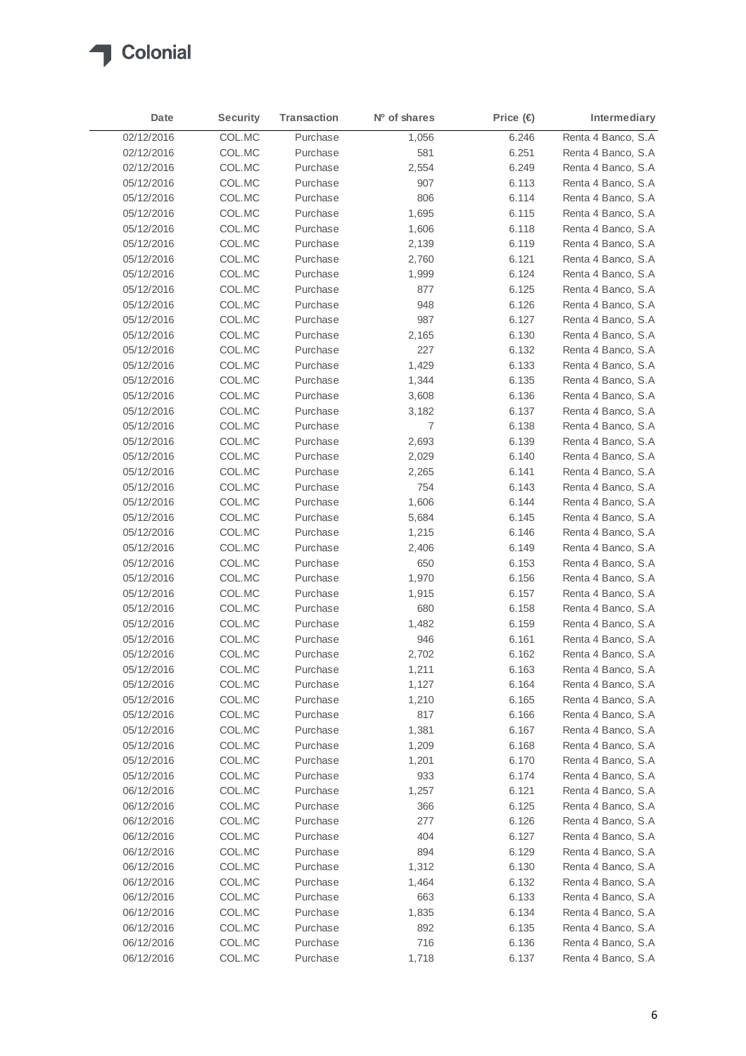

| Date       | <b>Security</b> | <b>Transaction</b> | N <sup>o</sup> of shares | Price $(\in)$ | Intermediary        |
|------------|-----------------|--------------------|--------------------------|---------------|---------------------|
| 02/12/2016 | COL.MC          | Purchase           | 1,056                    | 6.246         | Renta 4 Banco, S.A  |
| 02/12/2016 | COL.MC          | Purchase           | 581                      | 6.251         | Renta 4 Banco, S.A  |
| 02/12/2016 | COL.MC          | Purchase           | 2,554                    | 6.249         | Renta 4 Banco, S.A. |
| 05/12/2016 | COL.MC          | Purchase           | 907                      | 6.113         | Renta 4 Banco, S.A  |
| 05/12/2016 | COL.MC          | Purchase           | 806                      | 6.114         | Renta 4 Banco, S.A  |
| 05/12/2016 | COL.MC          | Purchase           | 1,695                    | 6.115         | Renta 4 Banco, S.A. |
| 05/12/2016 | COL.MC          | Purchase           | 1,606                    | 6.118         | Renta 4 Banco, S.A. |
| 05/12/2016 | COL.MC          | Purchase           | 2,139                    | 6.119         | Renta 4 Banco, S.A. |
| 05/12/2016 | COL.MC          | Purchase           | 2,760                    | 6.121         | Renta 4 Banco, S.A  |
| 05/12/2016 | COL.MC          | Purchase           | 1,999                    | 6.124         | Renta 4 Banco, S.A  |
| 05/12/2016 | COL.MC          | Purchase           | 877                      | 6.125         | Renta 4 Banco, S.A  |
| 05/12/2016 | COL.MC          | Purchase           | 948                      | 6.126         | Renta 4 Banco, S.A  |
| 05/12/2016 | COL.MC          | Purchase           | 987                      | 6.127         | Renta 4 Banco, S.A  |
| 05/12/2016 | COL.MC          | Purchase           | 2,165                    | 6.130         | Renta 4 Banco, S.A. |
| 05/12/2016 | COL.MC          | Purchase           | 227                      | 6.132         | Renta 4 Banco, S.A. |
| 05/12/2016 | COL.MC          | Purchase           | 1,429                    | 6.133         | Renta 4 Banco, S.A  |
| 05/12/2016 | COL.MC          | Purchase           | 1,344                    | 6.135         | Renta 4 Banco, S.A  |
| 05/12/2016 | COL.MC          | Purchase           | 3,608                    | 6.136         | Renta 4 Banco, S.A  |
| 05/12/2016 | COL.MC          | Purchase           | 3,182                    | 6.137         | Renta 4 Banco, S.A. |
| 05/12/2016 | COL.MC          | Purchase           | 7                        | 6.138         | Renta 4 Banco, S.A  |
| 05/12/2016 | COL.MC          | Purchase           | 2,693                    | 6.139         | Renta 4 Banco, S.A  |
| 05/12/2016 | COL.MC          | Purchase           | 2,029                    | 6.140         | Renta 4 Banco, S.A  |
| 05/12/2016 | COL.MC          | Purchase           | 2,265                    | 6.141         | Renta 4 Banco, S.A  |
| 05/12/2016 | COL.MC          | Purchase           | 754                      | 6.143         | Renta 4 Banco, S.A. |
| 05/12/2016 | COL.MC          | Purchase           | 1,606                    | 6.144         | Renta 4 Banco, S.A  |
| 05/12/2016 | COL.MC          | Purchase           | 5,684                    | 6.145         | Renta 4 Banco, S.A  |
| 05/12/2016 | COL.MC          | Purchase           | 1,215                    | 6.146         | Renta 4 Banco, S.A. |
| 05/12/2016 | COL.MC          | Purchase           | 2,406                    | 6.149         | Renta 4 Banco, S.A  |
| 05/12/2016 | COL.MC          | Purchase           | 650                      | 6.153         | Renta 4 Banco, S.A  |
| 05/12/2016 | COL.MC          | Purchase           | 1,970                    | 6.156         | Renta 4 Banco, S.A. |
| 05/12/2016 | COL.MC          | Purchase           | 1,915                    | 6.157         | Renta 4 Banco, S.A. |
| 05/12/2016 | COL.MC          | Purchase           | 680                      | 6.158         | Renta 4 Banco, S.A  |
| 05/12/2016 | COL.MC          | Purchase           | 1,482                    | 6.159         | Renta 4 Banco, S.A. |
| 05/12/2016 | COL.MC          | Purchase           | 946                      | 6.161         | Renta 4 Banco, S.A. |
| 05/12/2016 | COL.MC          | Purchase           | 2,702                    | 6.162         | Renta 4 Banco, S.A  |
| 05/12/2016 | COL.MC          | Purchase           | 1,211                    | 6.163         | Renta 4 Banco, S.A  |
| 05/12/2016 | COL.MC          | Purchase           | 1,127                    | 6.164         | Renta 4 Banco, S.A  |
| 05/12/2016 | COL.MC          | Purchase           | 1,210                    | 6.165         | Renta 4 Banco, S.A  |
| 05/12/2016 | COL.MC          | Purchase           | 817                      | 6.166         | Renta 4 Banco, S.A  |
| 05/12/2016 | COL.MC          | Purchase           | 1,381                    | 6.167         | Renta 4 Banco, S.A  |
| 05/12/2016 | COL.MC          | Purchase           | 1,209                    | 6.168         | Renta 4 Banco, S.A  |
| 05/12/2016 | COL.MC          | Purchase           | 1,201                    | 6.170         | Renta 4 Banco, S.A. |
| 05/12/2016 | COL.MC          | Purchase           | 933                      | 6.174         | Renta 4 Banco, S.A  |
| 06/12/2016 | COL.MC          | Purchase           | 1,257                    | 6.121         | Renta 4 Banco, S.A  |
| 06/12/2016 | COL.MC          | Purchase           | 366                      | 6.125         | Renta 4 Banco, S.A  |
| 06/12/2016 | COL.MC          | Purchase           | 277                      | 6.126         | Renta 4 Banco, S.A  |
| 06/12/2016 | COL.MC          | Purchase           | 404                      | 6.127         | Renta 4 Banco, S.A  |
| 06/12/2016 | COL.MC          | Purchase           | 894                      | 6.129         | Renta 4 Banco, S.A  |
| 06/12/2016 | COL.MC          | Purchase           | 1,312                    | 6.130         | Renta 4 Banco, S.A  |
| 06/12/2016 | COL.MC          | Purchase           | 1,464                    | 6.132         | Renta 4 Banco, S.A  |
| 06/12/2016 | COL.MC          | Purchase           | 663                      | 6.133         | Renta 4 Banco, S.A  |
| 06/12/2016 | COL.MC          | Purchase           | 1,835                    | 6.134         | Renta 4 Banco, S.A  |
| 06/12/2016 | COL.MC          | Purchase           | 892                      | 6.135         | Renta 4 Banco, S.A  |
| 06/12/2016 | COL.MC          | Purchase           | 716                      | 6.136         | Renta 4 Banco, S.A  |
| 06/12/2016 | COL.MC          | Purchase           | 1,718                    | 6.137         | Renta 4 Banco, S.A  |